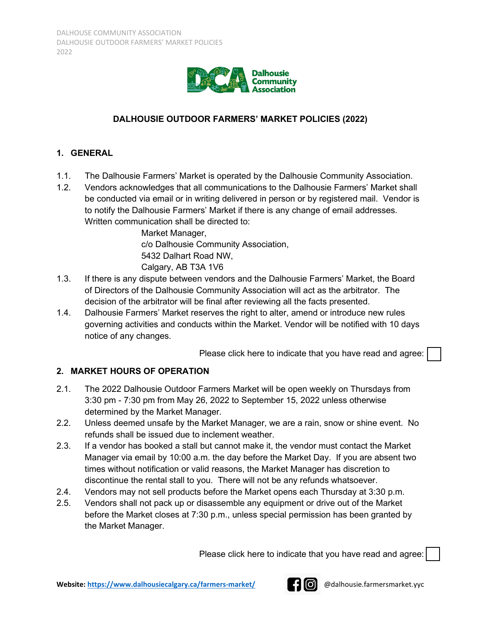

# **DALHOUSIE OUTDOOR FARMERS' MARKET POLICIES (2022)**

### **1. GENERAL**

- 1.1. The Dalhousie Farmers' Market is operated by the Dalhousie Community Association.
- 1.2. Vendors acknowledges that all communications to the Dalhousie Farmers' Market shall be conducted via email or in writing delivered in person or by registered mail. Vendor is to notify the Dalhousie Farmers' Market if there is any change of email addresses. Written communication shall be directed to:

Market Manager, c/o Dalhousie Community Association, 5432 Dalhart Road NW, Calgary, AB T3A 1V6

- 1.3. If there is any dispute between vendors and the Dalhousie Farmers' Market, the Board of Directors of the Dalhousie Community Association will act as the arbitrator. The decision of the arbitrator will be final after reviewing all the facts presented.
- 1.4. Dalhousie Farmers' Market reserves the right to alter, amend or introduce new rules governing activities and conducts within the Market. Vendor will be notified with 10 days notice of any changes.

Please click here to indicate that you have read and agree:

# **2. MARKET HOURS OF OPERATION**

- 2.1. The 2022 Dalhousie Outdoor Farmers Market will be open weekly on Thursdays from 3:30 pm - 7:30 pm from May 26, 2022 to September 15, 2022 unless otherwise determined by the Market Manager.
- 2.2. Unless deemed unsafe by the Market Manager, we are a rain, snow or shine event. No refunds shall be issued due to inclement weather.
- 2.3. If a vendor has booked a stall but cannot make it, the vendor must contact the Market Manager via email by 10:00 a.m. the day before the Market Day. If you are absent two times without notification or valid reasons, the Market Manager has discretion to discontinue the rental stall to you. There will not be any refunds whatsoever.
- 2.4. Vendors may not sell products before the Market opens each Thursday at 3:30 p.m.
- 2.5. Vendors shall not pack up or disassemble any equipment or drive out of the Market before the Market closes at 7:30 p.m., unless special permission has been granted by the Market Manager.

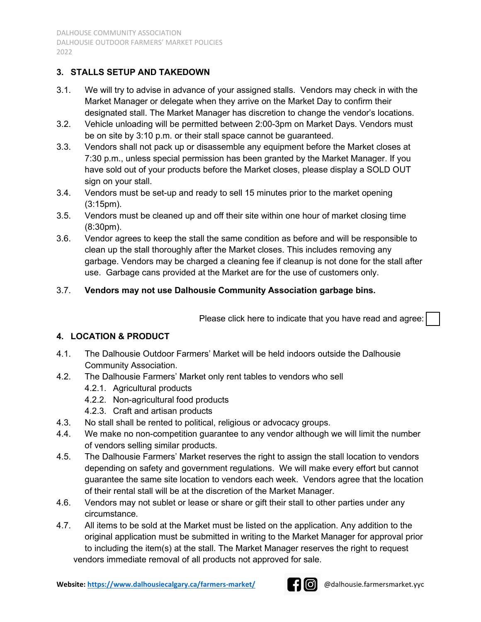# **3. STALLS SETUP AND TAKEDOWN**

- 3.1. We will try to advise in advance of your assigned stalls. Vendors may check in with the Market Manager or delegate when they arrive on the Market Day to confirm their designated stall. The Market Manager has discretion to change the vendor's locations.
- 3.2. Vehicle unloading will be permitted between 2:00-3pm on Market Days. Vendors must be on site by 3:10 p.m. or their stall space cannot be guaranteed.
- 3.3. Vendors shall not pack up or disassemble any equipment before the Market closes at 7:30 p.m., unless special permission has been granted by the Market Manager. If you have sold out of your products before the Market closes, please display a SOLD OUT sign on your stall.
- 3.4. Vendors must be set-up and ready to sell 15 minutes prior to the market opening (3:15pm).
- 3.5. Vendors must be cleaned up and off their site within one hour of market closing time (8:30pm).
- 3.6. Vendor agrees to keep the stall the same condition as before and will be responsible to clean up the stall thoroughly after the Market closes. This includes removing any garbage. Vendors may be charged a cleaning fee if cleanup is not done for the stall after use. Garbage cans provided at the Market are for the use of customers only.

### 3.7. **Vendors may not use Dalhousie Community Association garbage bins.**

Please click here to indicate that you have read and agree:

### **4. LOCATION & PRODUCT**

- 4.1. The Dalhousie Outdoor Farmers' Market will be held indoors outside the Dalhousie Community Association.
- 4.2. The Dalhousie Farmers' Market only rent tables to vendors who sell
	- 4.2.1. Agricultural products
	- 4.2.2. Non-agricultural food products
	- 4.2.3. Craft and artisan products
- 4.3. No stall shall be rented to political, religious or advocacy groups.
- 4.4. We make no non-competition guarantee to any vendor although we will limit the number of vendors selling similar products.
- 4.5. The Dalhousie Farmers' Market reserves the right to assign the stall location to vendors depending on safety and government regulations. We will make every effort but cannot guarantee the same site location to vendors each week. Vendors agree that the location of their rental stall will be at the discretion of the Market Manager.
- 4.6. Vendors may not sublet or lease or share or gift their stall to other parties under any circumstance.
- 4.7. All items to be sold at the Market must be listed on the application. Any addition to the original application must be submitted in writing to the Market Manager for approval prior to including the item(s) at the stall. The Market Manager reserves the right to request vendors immediate removal of all products not approved for sale.

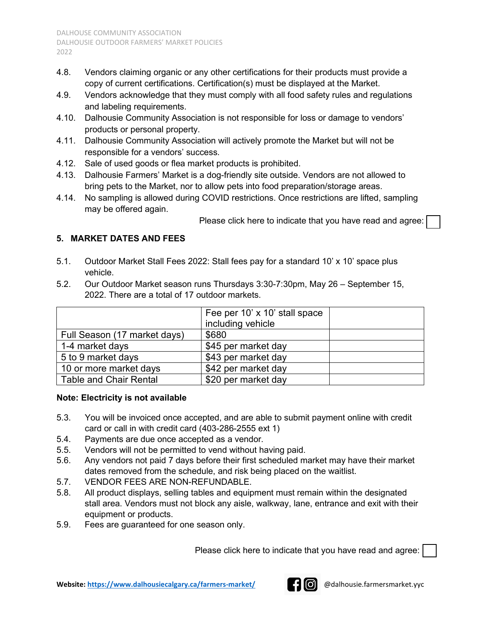- 4.8. Vendors claiming organic or any other certifications for their products must provide a copy of current certifications. Certification(s) must be displayed at the Market.
- 4.9. Vendors acknowledge that they must comply with all food safety rules and regulations and labeling requirements.
- 4.10. Dalhousie Community Association is not responsible for loss or damage to vendors' products or personal property.
- 4.11. Dalhousie Community Association will actively promote the Market but will not be responsible for a vendors' success.
- 4.12. Sale of used goods or flea market products is prohibited.
- 4.13. Dalhousie Farmers' Market is a dog-friendly site outside. Vendors are not allowed to bring pets to the Market, nor to allow pets into food preparation/storage areas.
- 4.14. No sampling is allowed during COVID restrictions. Once restrictions are lifted, sampling may be offered again.

Please click here to indicate that you have read and agree:

# **5. MARKET DATES AND FEES**

- 5.1. Outdoor Market Stall Fees 2022: Stall fees pay for a standard 10' x 10' space plus vehicle.
- 5.2. Our Outdoor Market season runs Thursdays 3:30-7:30pm, May 26 September 15, 2022. There are a total of 17 outdoor markets.

|                               | Fee per 10' x 10' stall space |  |
|-------------------------------|-------------------------------|--|
|                               | including vehicle             |  |
| Full Season (17 market days)  | \$680                         |  |
| 1-4 market days               | \$45 per market day           |  |
| 5 to 9 market days            | \$43 per market day           |  |
| 10 or more market days        | \$42 per market day           |  |
| <b>Table and Chair Rental</b> | \$20 per market day           |  |

### **Note: Electricity is not available**

- 5.3. You will be invoiced once accepted, and are able to submit payment online with credit card or call in with credit card (403-286-2555 ext 1)
- 5.4. Payments are due once accepted as a vendor.
- 5.5. Vendors will not be permitted to vend without having paid.
- 5.6. Any vendors not paid 7 days before their first scheduled market may have their market dates removed from the schedule, and risk being placed on the waitlist.
- 5.7. VENDOR FEES ARE NON-REFUNDABLE.
- 5.8. All product displays, selling tables and equipment must remain within the designated stall area. Vendors must not block any aisle, walkway, lane, entrance and exit with their equipment or products.
- 5.9. Fees are guaranteed for one season only.

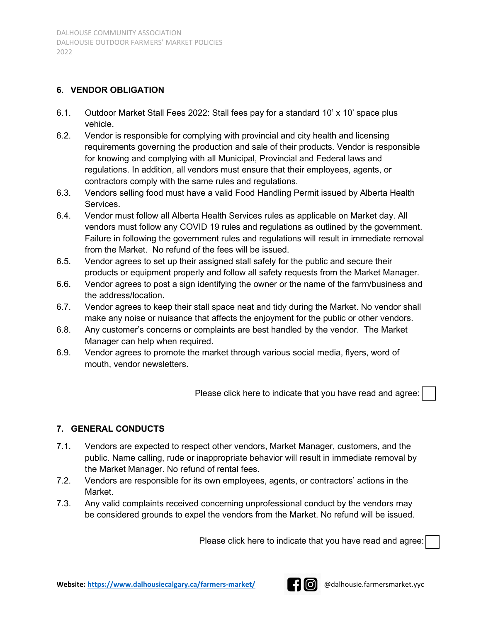#### **6. VENDOR OBLIGATION**

- 6.1. Outdoor Market Stall Fees 2022: Stall fees pay for a standard 10' x 10' space plus vehicle.
- 6.2. Vendor is responsible for complying with provincial and city health and licensing requirements governing the production and sale of their products. Vendor is responsible for knowing and complying with all Municipal, Provincial and Federal laws and regulations. In addition, all vendors must ensure that their employees, agents, or contractors comply with the same rules and regulations.
- 6.3. Vendors selling food must have a valid Food Handling Permit issued by Alberta Health Services.
- 6.4. Vendor must follow all Alberta Health Services rules as applicable on Market day. All vendors must follow any COVID 19 rules and regulations as outlined by the government. Failure in following the government rules and regulations will result in immediate removal from the Market. No refund of the fees will be issued.
- 6.5. Vendor agrees to set up their assigned stall safely for the public and secure their products or equipment properly and follow all safety requests from the Market Manager.
- 6.6. Vendor agrees to post a sign identifying the owner or the name of the farm/business and the address/location.
- 6.7. Vendor agrees to keep their stall space neat and tidy during the Market. No vendor shall make any noise or nuisance that affects the enjoyment for the public or other vendors.
- 6.8. Any customer's concerns or complaints are best handled by the vendor. The Market Manager can help when required.
- 6.9. Vendor agrees to promote the market through various social media, flyers, word of mouth, vendor newsletters.

Please click here to indicate that you have read and agree:

### **7. GENERAL CONDUCTS**

- 7.1. Vendors are expected to respect other vendors, Market Manager, customers, and the public. Name calling, rude or inappropriate behavior will result in immediate removal by the Market Manager. No refund of rental fees.
- 7.2. Vendors are responsible for its own employees, agents, or contractors' actions in the Market.
- 7.3. Any valid complaints received concerning unprofessional conduct by the vendors may be considered grounds to expel the vendors from the Market. No refund will be issued.

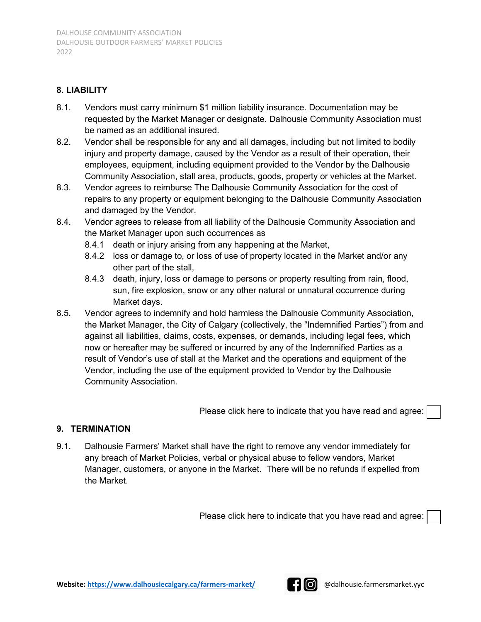### **8. LIABILITY**

- 8.1. Vendors must carry minimum \$1 million liability insurance. Documentation may be requested by the Market Manager or designate. Dalhousie Community Association must be named as an additional insured.
- 8.2. Vendor shall be responsible for any and all damages, including but not limited to bodily injury and property damage, caused by the Vendor as a result of their operation, their employees, equipment, including equipment provided to the Vendor by the Dalhousie Community Association, stall area, products, goods, property or vehicles at the Market.
- 8.3. Vendor agrees to reimburse The Dalhousie Community Association for the cost of repairs to any property or equipment belonging to the Dalhousie Community Association and damaged by the Vendor.
- 8.4. Vendor agrees to release from all liability of the Dalhousie Community Association and the Market Manager upon such occurrences as
	- 8.4.1 death or injury arising from any happening at the Market,
	- 8.4.2 loss or damage to, or loss of use of property located in the Market and/or any other part of the stall,
	- 8.4.3 death, injury, loss or damage to persons or property resulting from rain, flood, sun, fire explosion, snow or any other natural or unnatural occurrence during Market days.
- 8.5. Vendor agrees to indemnify and hold harmless the Dalhousie Community Association, the Market Manager, the City of Calgary (collectively, the "Indemnified Parties") from and against all liabilities, claims, costs, expenses, or demands, including legal fees, which now or hereafter may be suffered or incurred by any of the Indemnified Parties as a result of Vendor's use of stall at the Market and the operations and equipment of the Vendor, including the use of the equipment provided to Vendor by the Dalhousie Community Association.

Please click here to indicate that you have read and agree:

### **9. TERMINATION**

9.1. Dalhousie Farmers' Market shall have the right to remove any vendor immediately for any breach of Market Policies, verbal or physical abuse to fellow vendors, Market Manager, customers, or anyone in the Market. There will be no refunds if expelled from the Market.